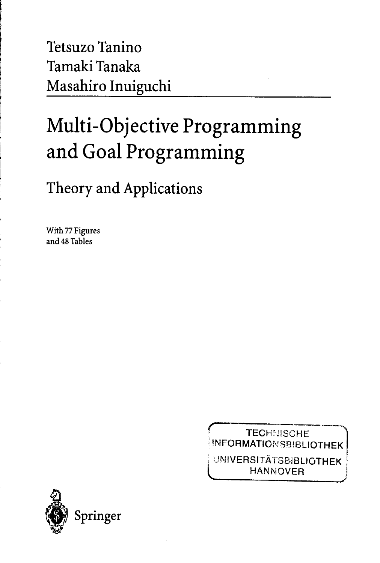Tetsuzo Tanino Tamaki Tanaka Masahiro Inuiguchi

## Multi-Objective Programming and Goal Programming

Theory and Applications

With 77 Figures and 48 Tables

> **TECHNISCHE** INFORMATIONSBIBLIOTHEK

**UNIVERSITÄTSBIBLIOTHEK HANNOVER** 

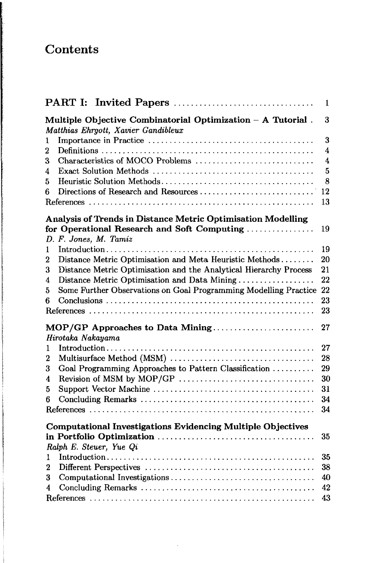## Contents

and the company of the company of the company of the company of the company of the company of the company of the company of the company of the company of the company of the company of the company of the company of the comp

|                                                                                                    | 1  |
|----------------------------------------------------------------------------------------------------|----|
| Multiple Objective Combinatorial Optimization - A Tutorial.<br>Matthias Ehrgott, Xavier Gandibleux | 3  |
| 1                                                                                                  | 3  |
| 2                                                                                                  | 4  |
| Characteristics of MOCO Problems<br>3                                                              | 4  |
| 4                                                                                                  | 5  |
| 5                                                                                                  | 8  |
| Directions of Research and Resources<br>6                                                          | 12 |
|                                                                                                    | 13 |
| Analysis of Trends in Distance Metric Optimisation Modelling                                       |    |
| for Operational Research and Soft Computing                                                        | 19 |
| D. F. Jones, M. Tamiz                                                                              |    |
| 1                                                                                                  | 19 |
| Distance Metric Optimisation and Meta Heuristic Methods<br>$\boldsymbol{2}$                        | 20 |
| Distance Metric Optimisation and the Analytical Hierarchy Process<br>3                             | 21 |
| Distance Metric Optimisation and Data Mining<br>4                                                  | 22 |
| Some Further Observations on Goal Programming Modelling Practice 22<br>5                           |    |
| 6                                                                                                  | 23 |
|                                                                                                    | 23 |
| MOP/GP Approaches to Data Mining                                                                   | 27 |
| Hirotaka Nakayama                                                                                  |    |
| 1                                                                                                  | 27 |
| Multisurface Method (MSM)<br>$\overline{2}$                                                        | 28 |
| Goal Programming Approaches to Pattern Classification<br>3                                         | 29 |
| Revision of MSM by MOP/GP<br>4                                                                     | 30 |
| 5                                                                                                  | 31 |
| 6                                                                                                  | 34 |
|                                                                                                    | 34 |
| <b>Computational Investigations Evidencing Multiple Objectives</b>                                 |    |
|                                                                                                    | 35 |
| Ralph E. Steuer, Yue Qi                                                                            |    |
| 1                                                                                                  | 35 |
| 2                                                                                                  | 38 |
| 3                                                                                                  | 40 |
| 4                                                                                                  | 42 |
|                                                                                                    | 43 |

l,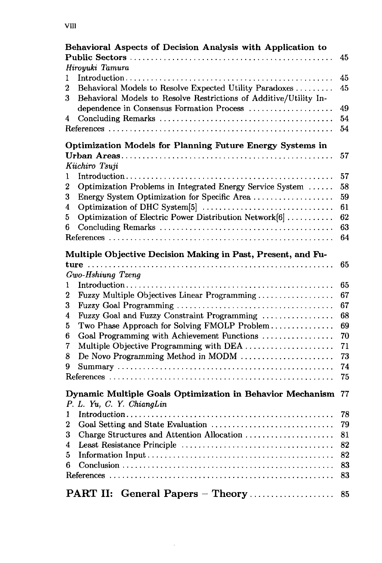|   | Behavioral Aspects of Decision Analysis with Application to       | 45 |
|---|-------------------------------------------------------------------|----|
|   | Hiroyuki Tamura                                                   |    |
| 1 |                                                                   | 45 |
| 2 | Behavioral Models to Resolve Expected Utility Paradoxes           | 45 |
| 3 | Behavioral Models to Resolve Restrictions of Additive/Utility In- |    |
|   | dependence in Consensus Formation Process                         | 49 |
| 4 |                                                                   | 54 |
|   |                                                                   | 54 |
|   | Optimization Models for Planning Future Energy Systems in         |    |
|   |                                                                   | 57 |
|   | Kiichiro Tsuji                                                    |    |
| 1 |                                                                   | 57 |
| 2 | Optimization Problems in Integrated Energy Service System         | 58 |
| 3 | Energy System Optimization for Specific Area                      | 59 |
| 4 |                                                                   | 61 |
| 5 | Optimization of Electric Power Distribution Network[6]            | 62 |
| 6 |                                                                   | 63 |
|   |                                                                   | 64 |
|   | Multiple Objective Decision Making in Past, Present, and Fu-      |    |
|   |                                                                   | 65 |
|   | Gwo-Hshiung Tzeng                                                 |    |
| 1 |                                                                   | 65 |
| 2 | Fuzzy Multiple Objectives Linear Programming                      | 67 |
| 3 |                                                                   | 67 |
| 4 | Fuzzy Goal and Fuzzy Constraint Programming                       | 68 |
| 5 | Two Phase Approach for Solving FMOLP Problem                      | 69 |
| 6 | Goal Programming with Achievement Functions                       | 70 |
| 7 | Multiple Objective Programming with DEA                           | 71 |
| 8 | De Novo Programming Method in MODM                                | 73 |
| 9 |                                                                   | 74 |
|   |                                                                   | 75 |
|   | Dynamic Multiple Goals Optimization in Behavior Mechanism         | 77 |
|   | P. L. Yu, C. Y. ChiangLin                                         |    |
| 1 |                                                                   | 78 |
| 2 |                                                                   | 79 |
| 3 | Charge Structures and Attention Allocation                        | 81 |
| 4 |                                                                   | 82 |
| 5 |                                                                   | 82 |
| 6 |                                                                   | 83 |
|   |                                                                   | 83 |
|   | General Papers - Theory<br>PART II:                               | 85 |

 $\mathcal{L}^{\text{max}}_{\text{max}}$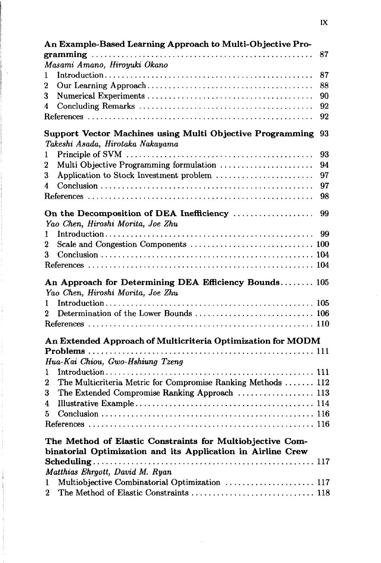| An Example-Based Learning Approach to Multi-Objective Pro-                                                               |    |  |
|--------------------------------------------------------------------------------------------------------------------------|----|--|
| 87                                                                                                                       |    |  |
| Masami Amano, Hiroyuki Okano                                                                                             |    |  |
| 1                                                                                                                        | 87 |  |
| 2                                                                                                                        | 88 |  |
| 3                                                                                                                        | 90 |  |
| 4                                                                                                                        | 92 |  |
|                                                                                                                          | 92 |  |
| <b>Support Vector Machines using Multi Objective Programming</b><br>Takeshi Asada, Hirotaka Nakayama                     | 93 |  |
| 1                                                                                                                        | 93 |  |
| Multi Objective Programming formulation<br>2                                                                             | 94 |  |
| Application to Stock Investment problem<br>3                                                                             | 97 |  |
| 4                                                                                                                        | 97 |  |
|                                                                                                                          | 98 |  |
| On the Decomposition of DEA Inefficiency<br>Yao Chen, Hiroshi Morita, Joe Zhu                                            | 99 |  |
| 1                                                                                                                        | 99 |  |
| $\bf{2}$                                                                                                                 |    |  |
| 3                                                                                                                        |    |  |
|                                                                                                                          |    |  |
| An Approach for Determining DEA Efficiency Bounds 105<br>Yao Chen, Hiroshi Morita, Joe Zhu                               |    |  |
| 1                                                                                                                        |    |  |
| Determination of the Lower Bounds  106<br>2                                                                              |    |  |
|                                                                                                                          |    |  |
| An Extended Approach of Multicriteria Optimization for MODM                                                              |    |  |
|                                                                                                                          |    |  |
| Hua-Kai Chiou, Gwo-Hshiung Tzeng                                                                                         |    |  |
| 1                                                                                                                        |    |  |
| The Multicriteria Metric for Compromise Ranking Methods  112<br>2                                                        |    |  |
| The Extended Compromise Ranking Approach  113<br>3                                                                       |    |  |
| 4                                                                                                                        |    |  |
| 5                                                                                                                        |    |  |
|                                                                                                                          |    |  |
| The Method of Elastic Constraints for Multiobjective Com-<br>binatorial Optimization and its Application in Airline Crew |    |  |
| Matthias Ehrgott, David M. Ryan                                                                                          |    |  |
| Multiobjective Combinatorial Optimization  117<br>1                                                                      |    |  |
| The Method of Elastic Constraints  118<br>$\overline{2}$                                                                 |    |  |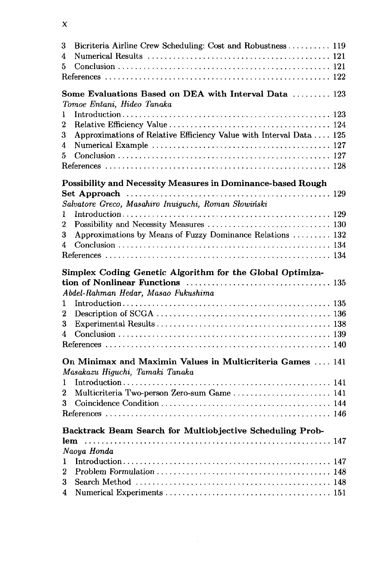| 3                | Bicriteria Airline Crew Scheduling: Cost and Robustness  119                                 |  |
|------------------|----------------------------------------------------------------------------------------------|--|
| 4                |                                                                                              |  |
| 5                |                                                                                              |  |
|                  |                                                                                              |  |
|                  | Some Evaluations Based on DEA with Interval Data  123<br>Tomoe Entani, Hideo Tanaka          |  |
| 1                |                                                                                              |  |
| $\overline{2}$   |                                                                                              |  |
| 3                | Approximations of Relative Efficiency Value with Interval Data  125                          |  |
| 4                |                                                                                              |  |
| 5                |                                                                                              |  |
|                  |                                                                                              |  |
|                  | Possibility and Necessity Measures in Dominance-based Rough                                  |  |
|                  |                                                                                              |  |
|                  | Salvatore Greco, Masahiro Inuiguchi, Roman Słowiński                                         |  |
| 1                |                                                                                              |  |
| 2                | Possibility and Necessity Measures  130                                                      |  |
| 3                | Approximations by Means of Fuzzy Dominance Relations  132                                    |  |
| 4                |                                                                                              |  |
|                  |                                                                                              |  |
|                  | Simplex Coding Genetic Algorithm for the Global Optimiza-                                    |  |
|                  |                                                                                              |  |
|                  | Abdel-Rahman Hedar, Masao Fukushima                                                          |  |
| 1                |                                                                                              |  |
| $\boldsymbol{2}$ |                                                                                              |  |
| 3<br>4           |                                                                                              |  |
|                  |                                                                                              |  |
|                  |                                                                                              |  |
|                  | On Minimax and Maximin Values in Multicriteria Games  141<br>Masakazu Higuchi, Tamaki Tanaka |  |
| 1                |                                                                                              |  |
| 2                | Multicriteria Two-person Zero-sum Game  141                                                  |  |
| 3                |                                                                                              |  |
|                  |                                                                                              |  |
|                  | Backtrack Beam Search for Multiobjective Scheduling Prob-                                    |  |
|                  | Naoya Honda                                                                                  |  |
| 1                |                                                                                              |  |
| $\overline{2}$   |                                                                                              |  |
| 3                |                                                                                              |  |
| 4                |                                                                                              |  |
|                  |                                                                                              |  |

## $\mathbf{x}$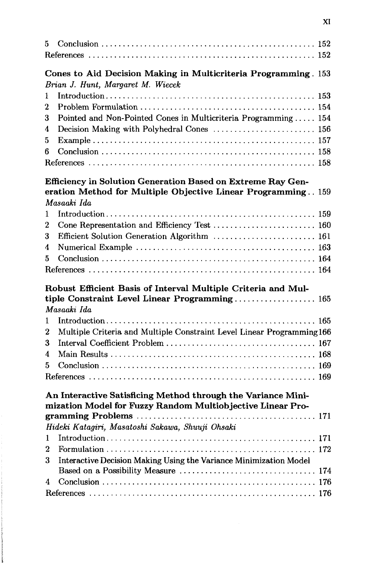| 5. |                                                                                                     |
|----|-----------------------------------------------------------------------------------------------------|
|    | Cones to Aid Decision Making in Multicriteria Programming. 153<br>Brian J. Hunt, Margaret M. Wiecek |
| 1  |                                                                                                     |
| 2  |                                                                                                     |
| 3  | Pointed and Non-Pointed Cones in Multicriteria Programming  154                                     |
| 4  | Decision Making with Polyhedral Cones  156                                                          |
| 5  |                                                                                                     |
| 6  |                                                                                                     |
|    |                                                                                                     |
|    | Efficiency in Solution Generation Based on Extreme Ray Gen-                                         |
|    | eration Method for Multiple Objective Linear Programming 159                                        |
|    | Masaaki Ida                                                                                         |
| 1  |                                                                                                     |
| 2  | Cone Representation and Efficiency Test  160                                                        |
| 3  | Efficient Solution Generation Algorithm  161                                                        |
| 4  |                                                                                                     |
| 5  |                                                                                                     |
|    |                                                                                                     |
|    | Robust Efficient Basis of Interval Multiple Criteria and Mul-                                       |
|    | tiple Constraint Level Linear Programming 165                                                       |
|    | Masaaki Ida                                                                                         |
| 1  |                                                                                                     |
| 2  | Multiple Criteria and Multiple Constraint Level Linear Programming 166                              |
| 3  |                                                                                                     |
| 4  |                                                                                                     |
| 5  |                                                                                                     |
|    |                                                                                                     |
|    | An Interactive Satisficing Method through the Variance Mini-                                        |
|    | mization Model for Fuzzy Random Multiobjective Linear Pro-                                          |
|    | Hideki Katagiri, Masatoshi Sakawa, Shuuji Ohsaki                                                    |
| 1  |                                                                                                     |
| 2  |                                                                                                     |
| 3  | Interactive Decision Making Using the Variance Minimization Model                                   |
|    | Based on a Possibility Measure  174                                                                 |
| 4  |                                                                                                     |
|    |                                                                                                     |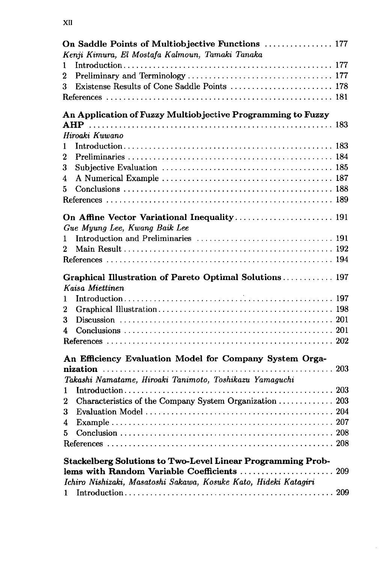|              | On Saddle Points of Multiobjective Functions  177                  |  |
|--------------|--------------------------------------------------------------------|--|
|              | Kenji Kimura, El Mostafa Kalmoun, Tamaki Tanaka                    |  |
| 1            |                                                                    |  |
| 2            |                                                                    |  |
| 3            | Existense Results of Cone Saddle Points  178                       |  |
|              |                                                                    |  |
|              | An Application of Fuzzy Multiobjective Programming to Fuzzy        |  |
|              |                                                                    |  |
|              | Hiroaki Kuwano                                                     |  |
| $\mathbf{1}$ |                                                                    |  |
| 2            |                                                                    |  |
| 3            |                                                                    |  |
| 4            |                                                                    |  |
| 5            |                                                                    |  |
|              |                                                                    |  |
|              | On Affine Vector Variational Inequality 191                        |  |
|              | Gue Myung Lee, Kwang Baik Lee                                      |  |
| 1            |                                                                    |  |
| 2            |                                                                    |  |
|              |                                                                    |  |
|              | Graphical Illustration of Pareto Optimal Solutions 197             |  |
|              | Kaisa Miettinen                                                    |  |
| 1            |                                                                    |  |
| 2            |                                                                    |  |
| 3            |                                                                    |  |
| 4            |                                                                    |  |
|              |                                                                    |  |
|              | An Efficiency Evaluation Model for Company System Orga-            |  |
|              |                                                                    |  |
|              | Takashi Namatame, Hiroaki Tanimoto, Toshikazu Yamaguchi            |  |
| 1            |                                                                    |  |
| 2            | Characteristics of the Company System Organization  203            |  |
| 3            |                                                                    |  |
| 4            |                                                                    |  |
| 5            |                                                                    |  |
|              |                                                                    |  |
|              | <b>Stackelberg Solutions to Two-Level Linear Programming Prob-</b> |  |
|              | lems with Random Variable Coefficients  209                        |  |
|              | Ichiro Nishizaki, Masatoshi Sakawa, Kosuke Kato, Hideki Katagiri   |  |
| 1.           |                                                                    |  |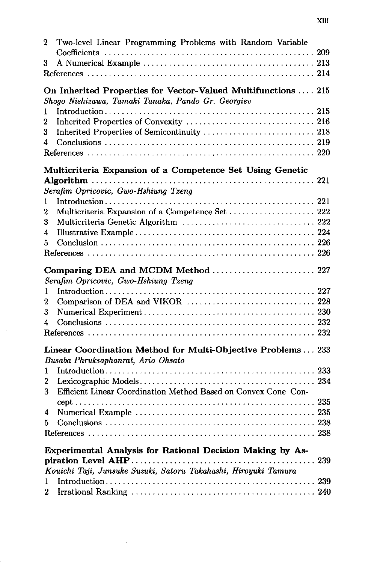| 2 | Two-level Linear Programming Problems with Random Variable      |  |
|---|-----------------------------------------------------------------|--|
|   |                                                                 |  |
| 3 |                                                                 |  |
|   |                                                                 |  |
|   | On Inherited Properties for Vector-Valued Multifunctions  215   |  |
|   | Shogo Nishizawa, Tamaki Tanaka, Pando Gr. Georgiev              |  |
| 1 |                                                                 |  |
| 2 |                                                                 |  |
| 3 | Inherited Properties of Semicontinuity  218                     |  |
| 4 |                                                                 |  |
|   |                                                                 |  |
|   | Multicriteria Expansion of a Competence Set Using Genetic       |  |
|   |                                                                 |  |
|   | Serafim Opricovic, Gwo-Hshiung Tzeng                            |  |
| 1 |                                                                 |  |
| 2 | Multicriteria Expansion of a Competence Set  222                |  |
| 3 | Multicriteria Genetic Algorithm  222                            |  |
| 4 |                                                                 |  |
| 5 |                                                                 |  |
|   |                                                                 |  |
|   |                                                                 |  |
|   | Comparing DEA and MCDM Method  227                              |  |
|   | Serafim Opricovic, Gwo-Hshiung Tzeng                            |  |
| 1 |                                                                 |  |
| 2 |                                                                 |  |
| 3 |                                                                 |  |
| 4 |                                                                 |  |
|   |                                                                 |  |
|   | Linear Coordination Method for Multi-Objective Problems  233    |  |
|   | Busaba Phruksaphanrat, Ario Ohsato                              |  |
| 1 |                                                                 |  |
| 2 |                                                                 |  |
| 3 | Efficient Linear Coordination Method Based on Convex Cone Con-  |  |
|   |                                                                 |  |
| 4 |                                                                 |  |
| 5 |                                                                 |  |
|   |                                                                 |  |
|   |                                                                 |  |
|   | Experimental Analysis for Rational Decision Making by As-       |  |
|   |                                                                 |  |
|   | Kouichi Taji, Junsuke Suzuki, Satoru Takahashi, Hiroyuki Tamura |  |
| 1 |                                                                 |  |
| 2 |                                                                 |  |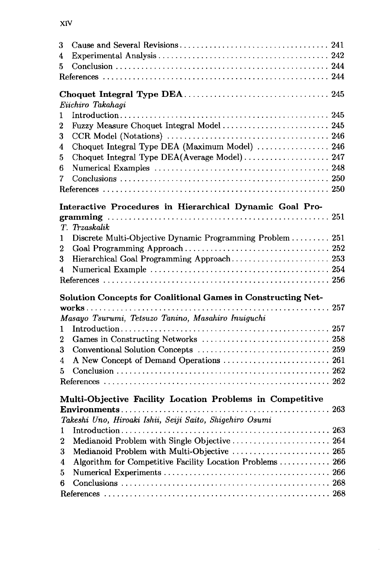| 3            |                                                              |  |
|--------------|--------------------------------------------------------------|--|
| 4            |                                                              |  |
| 5            |                                                              |  |
|              |                                                              |  |
|              |                                                              |  |
|              | Euchiro Takahagi                                             |  |
| 1            |                                                              |  |
| 2            | Fuzzy Measure Choquet Integral Model  245                    |  |
| 3            |                                                              |  |
| 4            | Choquet Integral Type DEA (Maximum Model)  246               |  |
| 5            | Choquet Integral Type DEA(Average Model) 247                 |  |
| 6            |                                                              |  |
| 7            |                                                              |  |
|              |                                                              |  |
|              |                                                              |  |
|              | Interactive Procedures in Hierarchical Dynamic Goal Pro-     |  |
|              |                                                              |  |
|              | T. Trzaskalik                                                |  |
| $\mathbf{1}$ | Discrete Multi-Objective Dynamic Programming Problem  251    |  |
| 2            |                                                              |  |
| 3            | Hierarchical Goal Programming Approach 253                   |  |
| 4            |                                                              |  |
|              |                                                              |  |
|              | Solution Concepts for Coalitional Games in Constructing Net- |  |
|              |                                                              |  |
|              | Masayo Tsurumi, Tetsuzo Tanino, Masahiro Inuiguchi           |  |
| 1            |                                                              |  |
| 2            |                                                              |  |
| 3            |                                                              |  |
| 4            |                                                              |  |
| 5            |                                                              |  |
|              |                                                              |  |
|              |                                                              |  |
|              | Multi-Objective Facility Location Problems in Competitive    |  |
|              |                                                              |  |
|              | Takeshi Uno, Hiroaki Ishii, Seiji Saito, Shigehiro Osumi     |  |
| 1            |                                                              |  |
| 2            | Medianoid Problem with Single Objective  264                 |  |
| 3            | Medianoid Problem with Multi-Objective  265                  |  |
| 4            | Algorithm for Competitive Facility Location Problems  266    |  |
| 5            |                                                              |  |
| 6            |                                                              |  |
|              |                                                              |  |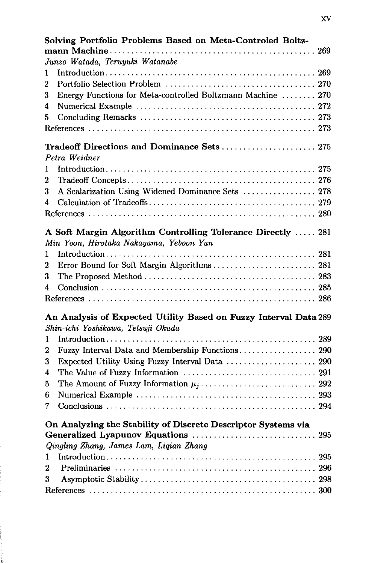| Solving Portfolio Problems Based on Meta-Controled Boltz-        |  |
|------------------------------------------------------------------|--|
|                                                                  |  |
| Junzo Watada, Teruyuki Watanabe                                  |  |
| 1                                                                |  |
| 2                                                                |  |
| Energy Functions for Meta-controlled Boltzmann Machine  270<br>3 |  |
| 4                                                                |  |
| 5                                                                |  |
|                                                                  |  |
| Tradeoff Directions and Dominance Sets 275                       |  |
| Petra Weidner                                                    |  |
| 1                                                                |  |
| 2                                                                |  |
| A Scalarization Using Widened Dominance Sets  278<br>3           |  |
| 4                                                                |  |
|                                                                  |  |
| A Soft Margin Algorithm Controlling Tolerance Directly  281      |  |
| Min Yoon, Hirotaka Nakayama, Yeboon Yun                          |  |
| 1                                                                |  |
| Error Bound for Soft Margin Algorithms 281<br>2                  |  |
| 3                                                                |  |
| 4                                                                |  |
|                                                                  |  |
| An Analysis of Expected Utility Based on Fuzzy Interval Data 289 |  |
| Shin-ichi Yoshikawa, Tetsuji Okuda                               |  |
| 1                                                                |  |
| Fuzzy Interval Data and Membership Functions 290<br>2            |  |
| Expected Utility Using Fuzzy Interval Data  290<br>3             |  |
| 4                                                                |  |
| 5                                                                |  |
| 6                                                                |  |
| 7                                                                |  |
| On Analyzing the Stability of Discrete Descriptor Systems via    |  |
|                                                                  |  |
| Qingling Zhang, James Lam, Liqian Zhang                          |  |
| 1                                                                |  |
| $\bf{2}$                                                         |  |
| 3                                                                |  |
|                                                                  |  |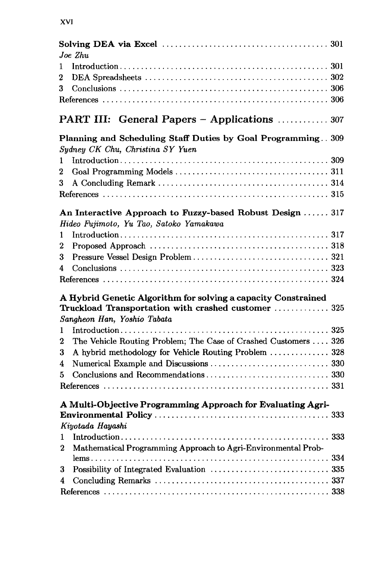| 1<br>2<br>3<br><b>PART III: General Papers - Applications</b> 307<br>Planning and Scheduling Staff Duties by Goal Programming 309<br>Sydney CK Chu, Christina SY Yuen<br>1<br>2<br>3<br>An Interactive Approach to Fuzzy-based Robust Design  317<br>Hideo Fujimoto, Yu Tao, Satoko Yamakawa<br>1<br>2<br>3<br>4<br>A Hybrid Genetic Algorithm for solving a capacity Constrained<br>Truckload Transportation with crashed customer  325<br>Sangheon Han, Yoshio Tabata<br>1<br>The Vehicle Routing Problem; The Case of Crashed Customers  326<br>2<br>A hybrid methodology for Vehicle Routing Problem  328<br>3<br>4<br>5<br>A Multi-Objective Programming Approach for Evaluating Agri-<br>Kiyotada Hayashi<br>1<br>Mathematical Programming Approach to Agri-Environmental Prob-<br>2<br>3<br>4 | Joe Zhu |  |
|------------------------------------------------------------------------------------------------------------------------------------------------------------------------------------------------------------------------------------------------------------------------------------------------------------------------------------------------------------------------------------------------------------------------------------------------------------------------------------------------------------------------------------------------------------------------------------------------------------------------------------------------------------------------------------------------------------------------------------------------------------------------------------------------------|---------|--|
|                                                                                                                                                                                                                                                                                                                                                                                                                                                                                                                                                                                                                                                                                                                                                                                                      |         |  |
|                                                                                                                                                                                                                                                                                                                                                                                                                                                                                                                                                                                                                                                                                                                                                                                                      |         |  |
|                                                                                                                                                                                                                                                                                                                                                                                                                                                                                                                                                                                                                                                                                                                                                                                                      |         |  |
|                                                                                                                                                                                                                                                                                                                                                                                                                                                                                                                                                                                                                                                                                                                                                                                                      |         |  |
|                                                                                                                                                                                                                                                                                                                                                                                                                                                                                                                                                                                                                                                                                                                                                                                                      |         |  |
|                                                                                                                                                                                                                                                                                                                                                                                                                                                                                                                                                                                                                                                                                                                                                                                                      |         |  |
|                                                                                                                                                                                                                                                                                                                                                                                                                                                                                                                                                                                                                                                                                                                                                                                                      |         |  |
|                                                                                                                                                                                                                                                                                                                                                                                                                                                                                                                                                                                                                                                                                                                                                                                                      |         |  |
|                                                                                                                                                                                                                                                                                                                                                                                                                                                                                                                                                                                                                                                                                                                                                                                                      |         |  |
|                                                                                                                                                                                                                                                                                                                                                                                                                                                                                                                                                                                                                                                                                                                                                                                                      |         |  |
|                                                                                                                                                                                                                                                                                                                                                                                                                                                                                                                                                                                                                                                                                                                                                                                                      |         |  |
|                                                                                                                                                                                                                                                                                                                                                                                                                                                                                                                                                                                                                                                                                                                                                                                                      |         |  |
|                                                                                                                                                                                                                                                                                                                                                                                                                                                                                                                                                                                                                                                                                                                                                                                                      |         |  |
|                                                                                                                                                                                                                                                                                                                                                                                                                                                                                                                                                                                                                                                                                                                                                                                                      |         |  |
|                                                                                                                                                                                                                                                                                                                                                                                                                                                                                                                                                                                                                                                                                                                                                                                                      |         |  |
|                                                                                                                                                                                                                                                                                                                                                                                                                                                                                                                                                                                                                                                                                                                                                                                                      |         |  |
|                                                                                                                                                                                                                                                                                                                                                                                                                                                                                                                                                                                                                                                                                                                                                                                                      |         |  |
|                                                                                                                                                                                                                                                                                                                                                                                                                                                                                                                                                                                                                                                                                                                                                                                                      |         |  |
|                                                                                                                                                                                                                                                                                                                                                                                                                                                                                                                                                                                                                                                                                                                                                                                                      |         |  |
|                                                                                                                                                                                                                                                                                                                                                                                                                                                                                                                                                                                                                                                                                                                                                                                                      |         |  |
|                                                                                                                                                                                                                                                                                                                                                                                                                                                                                                                                                                                                                                                                                                                                                                                                      |         |  |
|                                                                                                                                                                                                                                                                                                                                                                                                                                                                                                                                                                                                                                                                                                                                                                                                      |         |  |
|                                                                                                                                                                                                                                                                                                                                                                                                                                                                                                                                                                                                                                                                                                                                                                                                      |         |  |
|                                                                                                                                                                                                                                                                                                                                                                                                                                                                                                                                                                                                                                                                                                                                                                                                      |         |  |
|                                                                                                                                                                                                                                                                                                                                                                                                                                                                                                                                                                                                                                                                                                                                                                                                      |         |  |
|                                                                                                                                                                                                                                                                                                                                                                                                                                                                                                                                                                                                                                                                                                                                                                                                      |         |  |
|                                                                                                                                                                                                                                                                                                                                                                                                                                                                                                                                                                                                                                                                                                                                                                                                      |         |  |
|                                                                                                                                                                                                                                                                                                                                                                                                                                                                                                                                                                                                                                                                                                                                                                                                      |         |  |
|                                                                                                                                                                                                                                                                                                                                                                                                                                                                                                                                                                                                                                                                                                                                                                                                      |         |  |
|                                                                                                                                                                                                                                                                                                                                                                                                                                                                                                                                                                                                                                                                                                                                                                                                      |         |  |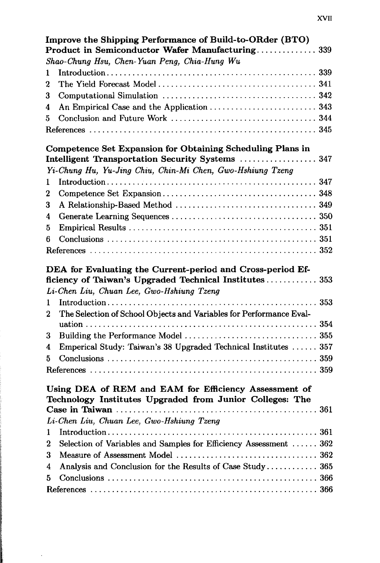|                  | Improve the Shipping Performance of Build-to-ORder (BTO)<br>Product in Semiconductor Wafer Manufacturing 339         |
|------------------|----------------------------------------------------------------------------------------------------------------------|
|                  | Shao-Chung Hsu, Chen-Yuan Peng, Chia-Hung Wu                                                                         |
| 1                |                                                                                                                      |
| $\boldsymbol{2}$ |                                                                                                                      |
| 3                |                                                                                                                      |
| 4                |                                                                                                                      |
| 5                |                                                                                                                      |
|                  |                                                                                                                      |
|                  |                                                                                                                      |
|                  | Competence Set Expansion for Obtaining Scheduling Plans in<br>Intelligent Transportation Security Systems  347       |
|                  | Yi-Chung Hu, Yu-Jing Chiu, Chin-Mi Chen, Gwo-Hshiung Tzeng                                                           |
| 1                |                                                                                                                      |
| 2                |                                                                                                                      |
| 3                |                                                                                                                      |
| 4                |                                                                                                                      |
| 5                |                                                                                                                      |
| 6                |                                                                                                                      |
|                  |                                                                                                                      |
|                  |                                                                                                                      |
|                  | DEA for Evaluating the Current-period and Cross-period Ef-<br>ficiency of Taiwan's Upgraded Technical Institutes 353 |
|                  | Li-Chen Liu, Chuan Lee, Gwo-Hshiung Tzeng                                                                            |
| 1                |                                                                                                                      |
| $\mathbf 2$      | The Selection of School Objects and Variables for Performance Eval-                                                  |
|                  |                                                                                                                      |
| 3                |                                                                                                                      |
| 4                | Emperical Study: Taiwan's 38 Upgraded Technical Institutes  357                                                      |
| 5                |                                                                                                                      |
|                  |                                                                                                                      |
|                  | Using DEA of REM and EAM for Efficiency Assessment of<br>Technology Institutes Upgraded from Junior Colleges: The    |
|                  |                                                                                                                      |
|                  | Li-Chen Liu, Chuan Lee, Gwo-Hshiung Tzeng                                                                            |
| 1                |                                                                                                                      |
| 2                | Selection of Variables and Samples for Efficiency Assessment  362                                                    |
| 3                |                                                                                                                      |
| 4                | Analysis and Conclusion for the Results of Case Study 365                                                            |
| 5                |                                                                                                                      |
|                  |                                                                                                                      |

J.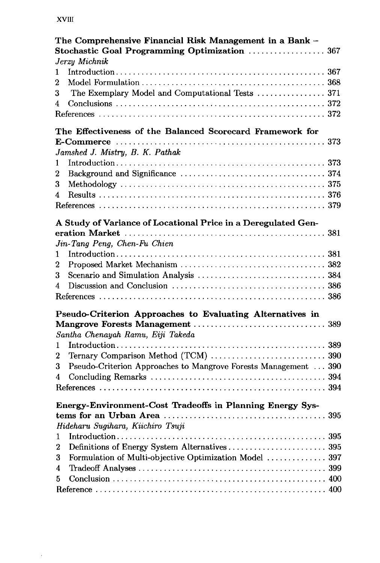## **XVIII**

 $\hat{\mathcal{A}}$ 

|                | The Comprehensive Financial Risk Management in a Bank -<br>Stochastic Goal Programming Optimization  367 |  |
|----------------|----------------------------------------------------------------------------------------------------------|--|
|                | Jerzy Michnik                                                                                            |  |
| 1              |                                                                                                          |  |
| $\overline{2}$ |                                                                                                          |  |
| 3              | The Exemplary Model and Computational Tests  371                                                         |  |
| 4              |                                                                                                          |  |
|                |                                                                                                          |  |
|                | The Effectiveness of the Balanced Scorecard Framework for                                                |  |
|                |                                                                                                          |  |
|                | Jamshed J. Mistry, B. K. Pathak                                                                          |  |
| 1              |                                                                                                          |  |
| 2              |                                                                                                          |  |
| 3              |                                                                                                          |  |
| 4              |                                                                                                          |  |
|                |                                                                                                          |  |
|                | A Study of Variance of Locational Price in a Deregulated Gen-                                            |  |
|                |                                                                                                          |  |
|                | Jin-Tang Peng, Chen-Fu Chien                                                                             |  |
| 1              |                                                                                                          |  |
| 2              |                                                                                                          |  |
| 3              |                                                                                                          |  |
| 4              |                                                                                                          |  |
|                |                                                                                                          |  |
|                | Pseudo-Criterion Approaches to Evaluating Alternatives in                                                |  |
|                |                                                                                                          |  |
|                | Santha Chenayah Ramu, Eiji Takeda                                                                        |  |
| 1              |                                                                                                          |  |
| 2              | Ternary Comparison Method (TCM)  390                                                                     |  |
| 3              | Pseudo-Criterion Approaches to Mangrove Forests Management  390                                          |  |
|                |                                                                                                          |  |
| 4              |                                                                                                          |  |
|                |                                                                                                          |  |
|                | Energy-Environment-Cost Tradeoffs in Planning Energy Sys-                                                |  |
|                |                                                                                                          |  |
|                | Hideharu Sugihara, Kiichiro Tsuji                                                                        |  |
| 1              |                                                                                                          |  |
| 2              |                                                                                                          |  |
| 3              | Formulation of Multi-objective Optimization Model  397                                                   |  |
| 4              |                                                                                                          |  |
| 5              |                                                                                                          |  |
|                |                                                                                                          |  |